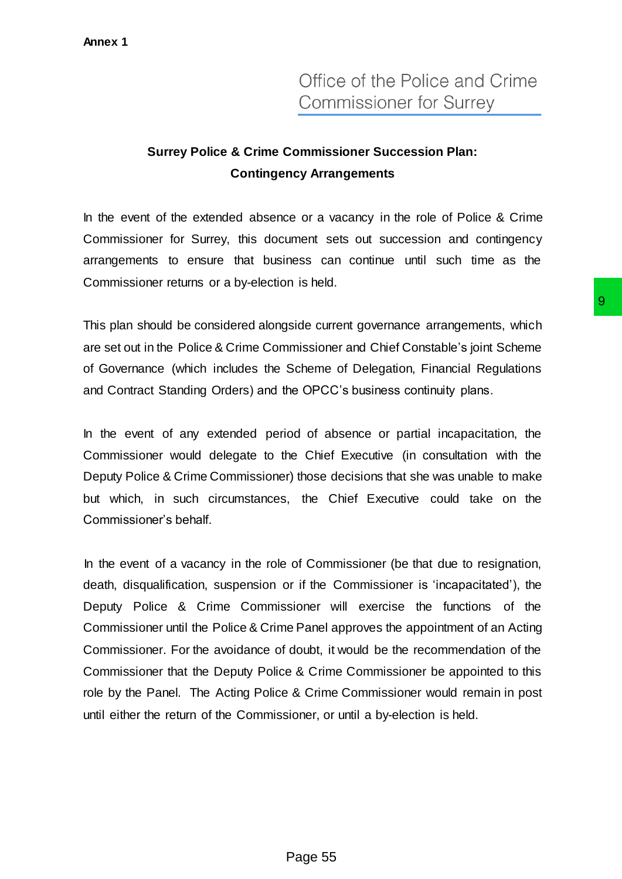## **Surrey Police & Crime Commissioner Succession Plan: Contingency Arrangements**

In the event of the extended absence or a vacancy in the role of Police & Crime Commissioner for Surrey, this document sets out succession and contingency arrangements to ensure that business can continue until such time as the Commissioner returns or a by-election is held.

This plan should be considered alongside current governance arrangements, which are set out in the Police & Crime Commissioner and Chief Constable's joint Scheme of Governance (which includes the Scheme of Delegation, Financial Regulations and Contract Standing Orders) and the OPCC's business continuity plans.

In the event of any extended period of absence or partial incapacitation, the Commissioner would delegate to the Chief Executive (in consultation with the Deputy Police & Crime Commissioner) those decisions that she was unable to make but which, in such circumstances, the Chief Executive could take on the Commissioner's behalf.

In the event of a vacancy in the role of Commissioner (be that due to resignation, death, disqualification, suspension or if the Commissioner is 'incapacitated'), the Deputy Police & Crime Commissioner will exercise the functions of the Commissioner until the Police & Crime Panel approves the appointment of an Acting Commissioner. For the avoidance of doubt, it would be the recommendation of the Commissioner that the Deputy Police & Crime Commissioner be appointed to this role by the Panel. The Acting Police & Crime Commissioner would remain in post until either the return of the Commissioner, or until a by-election is held. 99<br>
side current governance arrangements, which<br>
missioner and Chief Constable's joint Scheme<br>
Scheme of Delegation, Financial Regulations<br>
he OPCC's business continuity plans.<br>
od of absence or partial incapacitation, the